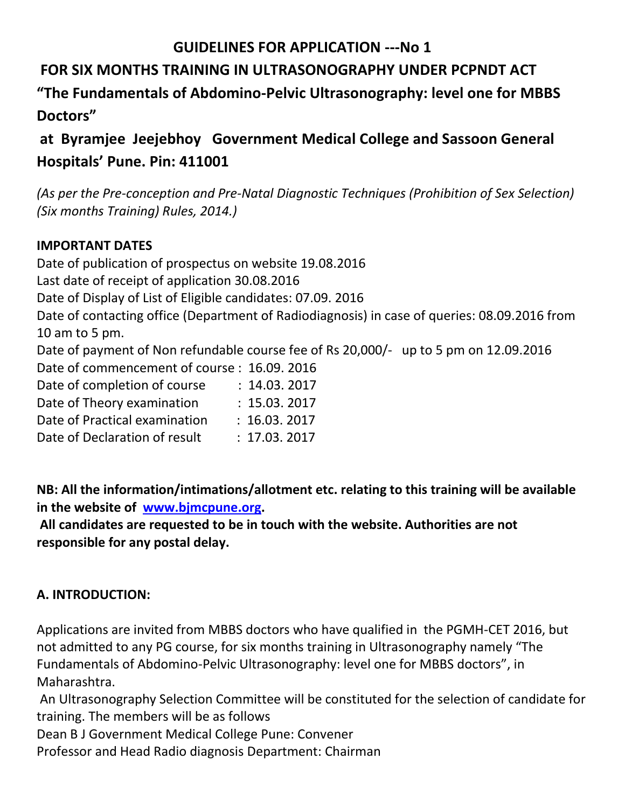## **GUIDELINES FOR APPLICATION ---No 1**

# **FOR SIX MONTHS TRAINING IN ULTRASONOGRAPHY UNDER PCPNDT ACT**

**"The Fundamentals of Abdomino-Pelvic Ultrasonography: level one for MBBS Doctors"** 

**at Byramjee Jeejebhoy Government Medical College and Sassoon General Hospitals' Pune. Pin: 411001**

*(As per the Pre-conception and Pre-Natal Diagnostic Techniques (Prohibition of Sex Selection) (Six months Training) Rules, 2014.)* 

## **IMPORTANT DATES**

Date of publication of prospectus on website 19.08.2016 Last date of receipt of application 30.08.2016 Date of Display of List of Eligible candidates: 07.09. 2016 Date of contacting office (Department of Radiodiagnosis) in case of queries: 08.09.2016 from 10 am to 5 pm. Date of payment of Non refundable course fee of Rs 20,000/- up to 5 pm on 12.09.2016 Date of commencement of course : 16.09. 2016

| Date of commencement of course . To 05. 2010 |              |  |
|----------------------------------------------|--------------|--|
| Date of completion of course                 | : 14.03.2017 |  |
| Date of Theory examination                   | : 15.03.2017 |  |
| Date of Practical examination                | : 16.03.2017 |  |
| Date of Declaration of result                | : 17.03.2017 |  |
|                                              |              |  |

**NB: All the information/intimations/allotment etc. relating to this training will be available in the website of [www.bjmcpune.org.](http://www.bjmcpune.org/)**

**All candidates are requested to be in touch with the website. Authorities are not responsible for any postal delay.** 

## **A. INTRODUCTION:**

Applications are invited from MBBS doctors who have qualified in the PGMH-CET 2016, but not admitted to any PG course, for six months training in Ultrasonography namely "The Fundamentals of Abdomino-Pelvic Ultrasonography: level one for MBBS doctors", in Maharashtra.

An Ultrasonography Selection Committee will be constituted for the selection of candidate for training. The members will be as follows

Dean B J Government Medical College Pune: Convener

Professor and Head Radio diagnosis Department: Chairman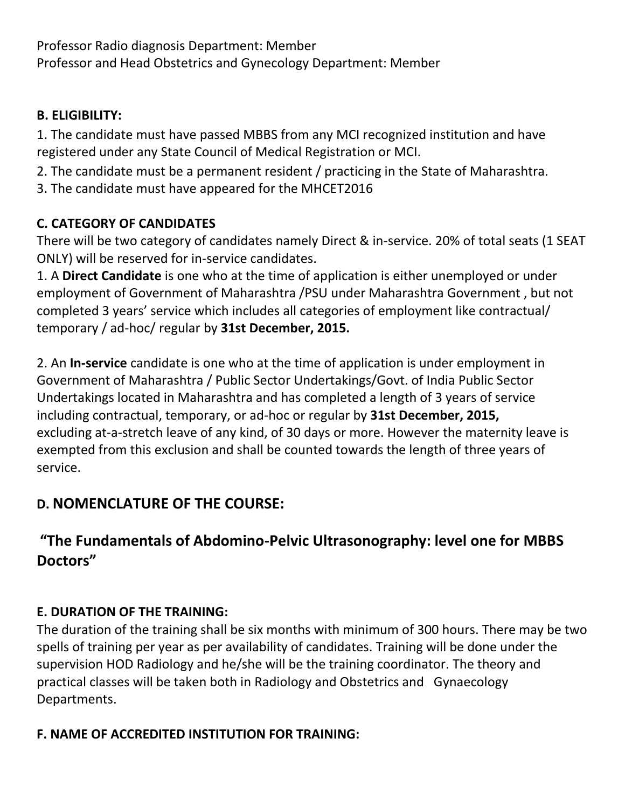Professor Radio diagnosis Department: Member Professor and Head Obstetrics and Gynecology Department: Member

## **B. ELIGIBILITY:**

1. The candidate must have passed MBBS from any MCI recognized institution and have registered under any State Council of Medical Registration or MCI.

- 2. The candidate must be a permanent resident / practicing in the State of Maharashtra.
- 3. The candidate must have appeared for the MHCET2016

## **C. CATEGORY OF CANDIDATES**

There will be two category of candidates namely Direct & in-service. 20% of total seats (1 SEAT ONLY) will be reserved for in-service candidates.

1. A **Direct Candidate** is one who at the time of application is either unemployed or under employment of Government of Maharashtra /PSU under Maharashtra Government , but not completed 3 years' service which includes all categories of employment like contractual/ temporary / ad-hoc/ regular by **31st December, 2015.** 

2. An **In-service** candidate is one who at the time of application is under employment in Government of Maharashtra / Public Sector Undertakings/Govt. of India Public Sector Undertakings located in Maharashtra and has completed a length of 3 years of service including contractual, temporary, or ad-hoc or regular by **31st December, 2015,**  excluding at-a-stretch leave of any kind, of 30 days or more. However the maternity leave is exempted from this exclusion and shall be counted towards the length of three years of service.

# **D. NOMENCLATURE OF THE COURSE:**

# **"The Fundamentals of Abdomino-Pelvic Ultrasonography: level one for MBBS Doctors"**

## **E. DURATION OF THE TRAINING:**

The duration of the training shall be six months with minimum of 300 hours. There may be two spells of training per year as per availability of candidates. Training will be done under the supervision HOD Radiology and he/she will be the training coordinator. The theory and practical classes will be taken both in Radiology and Obstetrics and Gynaecology Departments.

## **F. NAME OF ACCREDITED INSTITUTION FOR TRAINING:**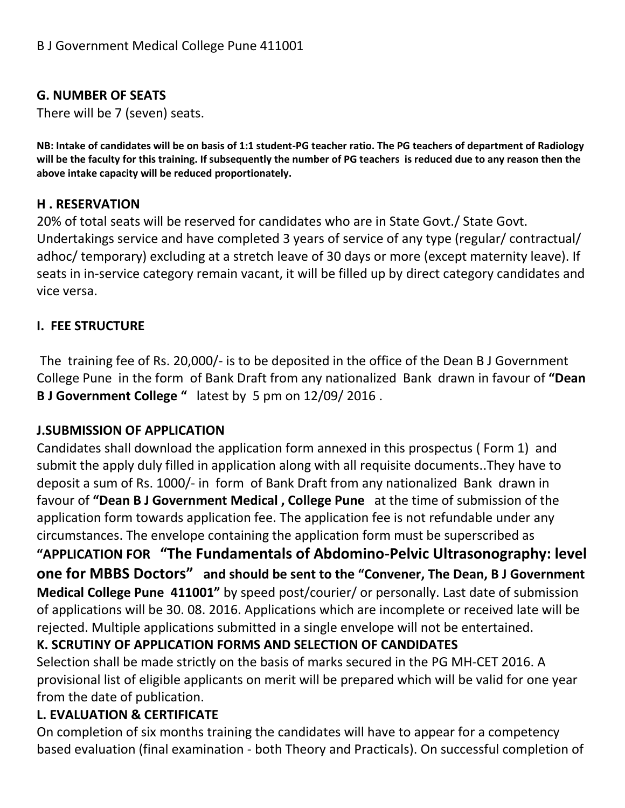## **G. NUMBER OF SEATS**

There will be 7 (seven) seats.

**NB: Intake of candidates will be on basis of 1:1 student-PG teacher ratio. The PG teachers of department of Radiology will be the faculty for this training. If subsequently the number of PG teachers is reduced due to any reason then the above intake capacity will be reduced proportionately.**

#### **H . RESERVATION**

20% of total seats will be reserved for candidates who are in State Govt./ State Govt. Undertakings service and have completed 3 years of service of any type (regular/ contractual/ adhoc/ temporary) excluding at a stretch leave of 30 days or more (except maternity leave). If seats in in-service category remain vacant, it will be filled up by direct category candidates and vice versa.

#### **I. FEE STRUCTURE**

The training fee of Rs. 20,000/- is to be deposited in the office of the Dean B J Government College Pune in the form of Bank Draft from any nationalized Bank drawn in favour of **"Dean B J Government College "** latest by 5 pm on 12/09/ 2016 .

### **J.SUBMISSION OF APPLICATION**

Candidates shall download the application form annexed in this prospectus ( Form 1) and submit the apply duly filled in application along with all requisite documents..They have to deposit a sum of Rs. 1000/- in form of Bank Draft from any nationalized Bank drawn in favour of **"Dean B J Government Medical , College Pune** at the time of submission of the application form towards application fee. The application fee is not refundable under any circumstances. The envelope containing the application form must be superscribed as **"APPLICATION FOR "The Fundamentals of Abdomino-Pelvic Ultrasonography: level one for MBBS Doctors" and should be sent to the "Convener, The Dean, B J Government Medical College Pune 411001"** by speed post/courier/ or personally. Last date of submission of applications will be 30. 08. 2016. Applications which are incomplete or received late will be rejected. Multiple applications submitted in a single envelope will not be entertained.

### **K. SCRUTINY OF APPLICATION FORMS AND SELECTION OF CANDIDATES**

Selection shall be made strictly on the basis of marks secured in the PG MH-CET 2016. A provisional list of eligible applicants on merit will be prepared which will be valid for one year from the date of publication.

### **L. EVALUATION & CERTIFICATE**

On completion of six months training the candidates will have to appear for a competency based evaluation (final examination - both Theory and Practicals). On successful completion of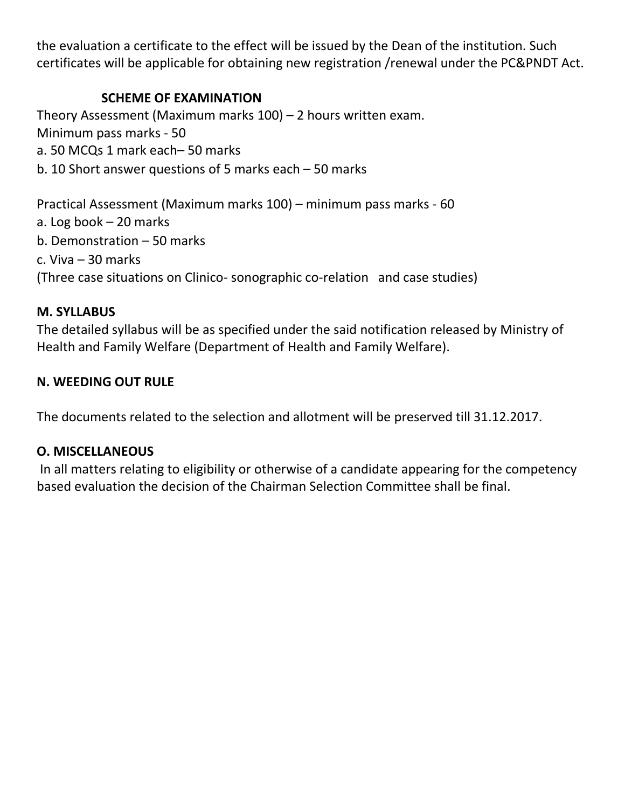the evaluation a certificate to the effect will be issued by the Dean of the institution. Such certificates will be applicable for obtaining new registration /renewal under the PC&PNDT Act.

### **SCHEME OF EXAMINATION**

Theory Assessment (Maximum marks 100) – 2 hours written exam. Minimum pass marks - 50 a. 50 MCQs 1 mark each– 50 marks b. 10 Short answer questions of 5 marks each – 50 marks

Practical Assessment (Maximum marks 100) – minimum pass marks - 60 a. Log book – 20 marks b. Demonstration – 50 marks c. Viva – 30 marks (Three case situations on Clinico- sonographic co-relation and case studies)

#### **M. SYLLABUS**

The detailed syllabus will be as specified under the said notification released by Ministry of Health and Family Welfare (Department of Health and Family Welfare).

#### **N. WEEDING OUT RULE**

The documents related to the selection and allotment will be preserved till 31.12.2017.

#### **O. MISCELLANEOUS**

In all matters relating to eligibility or otherwise of a candidate appearing for the competency based evaluation the decision of the Chairman Selection Committee shall be final.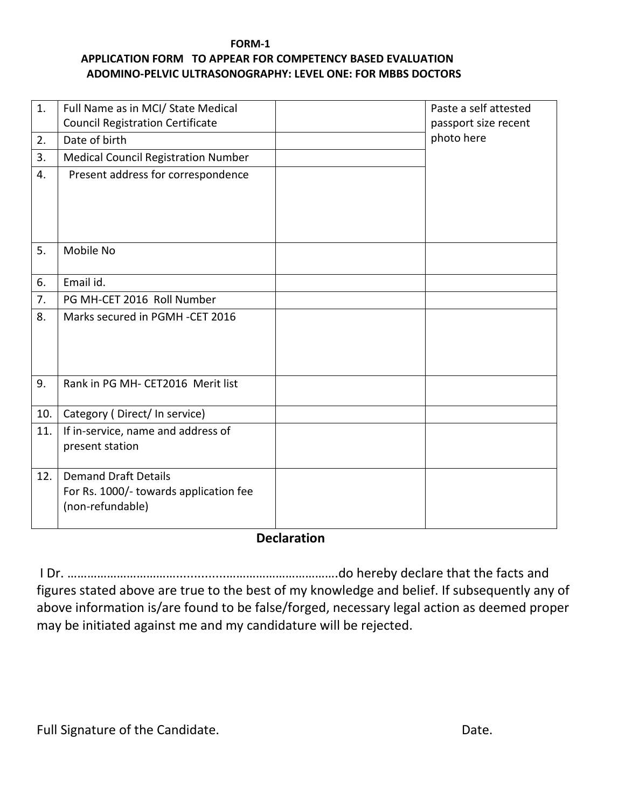#### **FORM-1**

#### **APPLICATION FORM TO APPEAR FOR COMPETENCY BASED EVALUATION ADOMINO-PELVIC ULTRASONOGRAPHY: LEVEL ONE: FOR MBBS DOCTORS**

| 1.  | Full Name as in MCI/ State Medical                                    | Paste a self attested |
|-----|-----------------------------------------------------------------------|-----------------------|
|     | <b>Council Registration Certificate</b>                               | passport size recent  |
| 2.  | Date of birth                                                         | photo here            |
| 3.  | <b>Medical Council Registration Number</b>                            |                       |
| 4.  | Present address for correspondence                                    |                       |
|     |                                                                       |                       |
|     |                                                                       |                       |
|     |                                                                       |                       |
| 5.  | Mobile No                                                             |                       |
|     |                                                                       |                       |
| 6.  | Email id.                                                             |                       |
| 7.  | PG MH-CET 2016 Roll Number                                            |                       |
| 8.  | Marks secured in PGMH-CET 2016                                        |                       |
|     |                                                                       |                       |
|     |                                                                       |                       |
|     |                                                                       |                       |
| 9.  | Rank in PG MH- CET2016 Merit list                                     |                       |
|     |                                                                       |                       |
| 10. | Category (Direct/In service)                                          |                       |
| 11. | If in-service, name and address of                                    |                       |
|     | present station                                                       |                       |
|     |                                                                       |                       |
| 12. | <b>Demand Draft Details</b><br>For Rs. 1000/- towards application fee |                       |
|     | (non-refundable)                                                      |                       |
|     |                                                                       |                       |
|     |                                                                       |                       |

#### **Declaration**

I Dr. ……………………………..............…………………………….do hereby declare that the facts and figures stated above are true to the best of my knowledge and belief. If subsequently any of above information is/are found to be false/forged, necessary legal action as deemed proper may be initiated against me and my candidature will be rejected.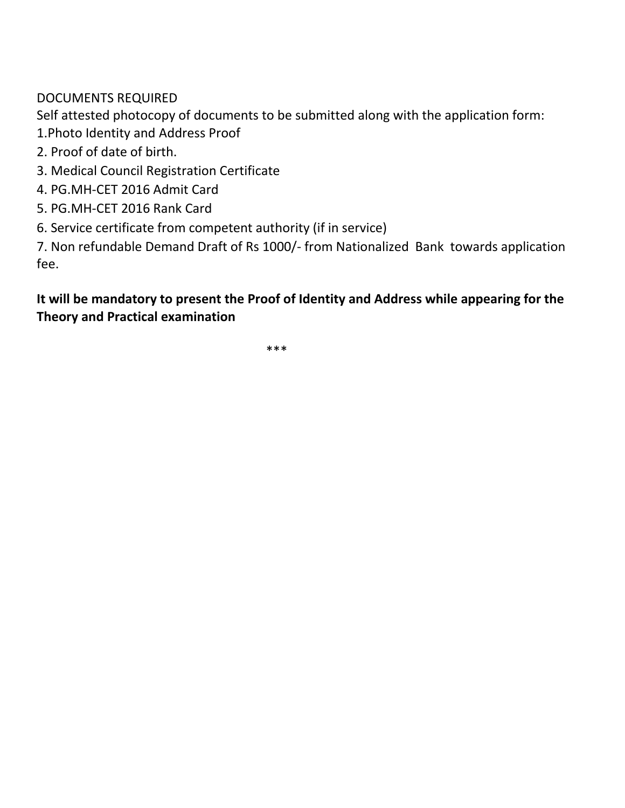DOCUMENTS REQUIRED

Self attested photocopy of documents to be submitted along with the application form:

- 1.Photo Identity and Address Proof
- 2. Proof of date of birth.
- 3. Medical Council Registration Certificate
- 4. PG.MH-CET 2016 Admit Card
- 5. PG.MH-CET 2016 Rank Card
- 6. Service certificate from competent authority (if in service)

7. Non refundable Demand Draft of Rs 1000/- from Nationalized Bank towards application fee.

## **It will be mandatory to present the Proof of Identity and Address while appearing for the Theory and Practical examination**

 $***$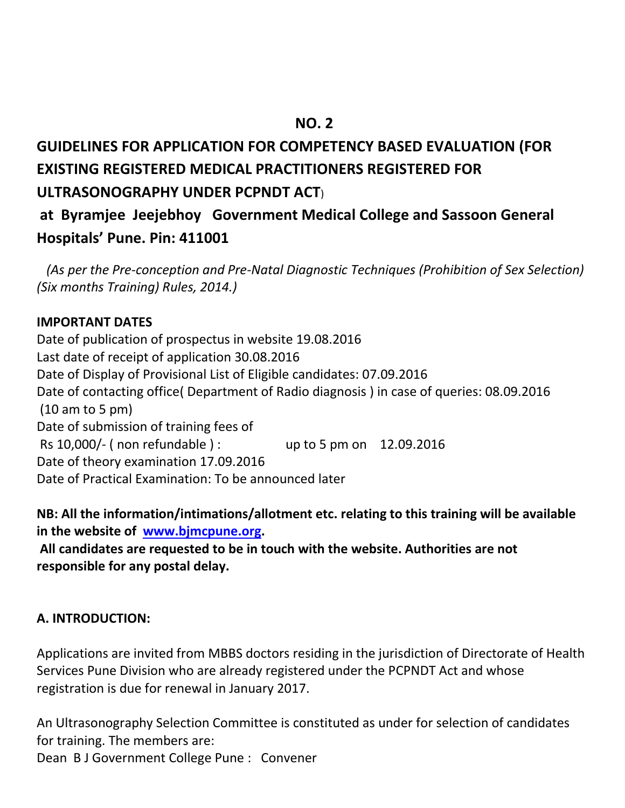# **NO. 2 NO. 2 GUIDELINES FOR APPLICATION FOR COMPETENCY BASED EVALUATION (FOR EXISTING REGISTERED MEDICAL PRACTITIONERS REGISTERED FOR ULTRASONOGRAPHY UNDER PCPNDT ACT**)

# **at Byramjee Jeejebhoy Government Medical College and Sassoon General Hospitals' Pune. Pin: 411001**

 *(As per the Pre-conception and Pre-Natal Diagnostic Techniques (Prohibition of Sex Selection) (Six months Training) Rules, 2014.)* 

#### **IMPORTANT DATES**

Date of publication of prospectus in website 19.08.2016 Last date of receipt of application 30.08.2016 Date of Display of Provisional List of Eligible candidates: 07.09.2016 Date of contacting office( Department of Radio diagnosis ) in case of queries: 08.09.2016 (10 am to 5 pm) Date of submission of training fees of Rs 10,000/- ( non refundable ) : up to 5 pm on 12.09.2016 Date of theory examination 17.09.2016 Date of Practical Examination: To be announced later

**NB: All the information/intimations/allotment etc. relating to this training will be available in the website of [www.bjmcpune.org.](http://www.bjmcpune.org/)**

**All candidates are requested to be in touch with the website. Authorities are not responsible for any postal delay.** 

### **A. INTRODUCTION:**

Applications are invited from MBBS doctors residing in the jurisdiction of Directorate of Health Services Pune Division who are already registered under the PCPNDT Act and whose registration is due for renewal in January 2017.

An Ultrasonography Selection Committee is constituted as under for selection of candidates for training. The members are:

Dean B J Government College Pune : Convener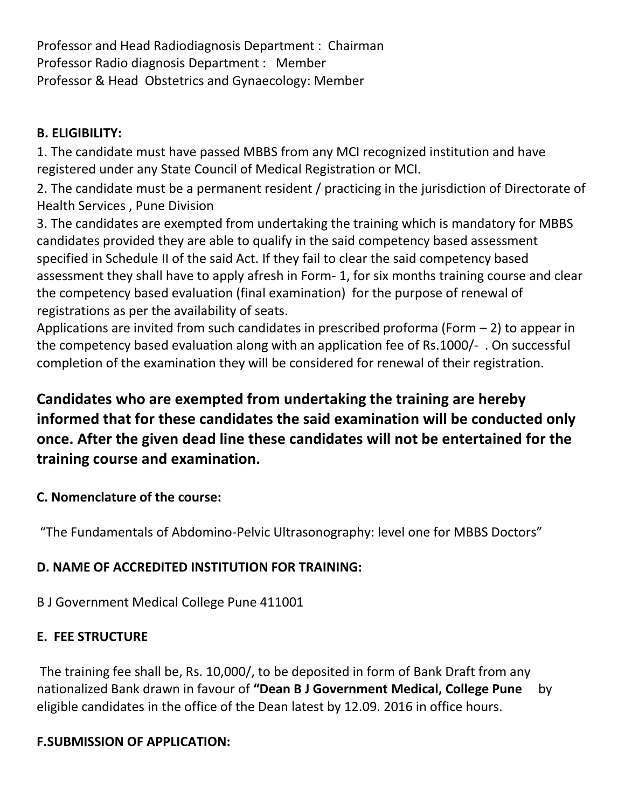Professor and Head Radiodiagnosis Department : Chairman Professor Radio diagnosis Department : Member Professor & Head Obstetrics and Gynaecology: Member

## **B. ELIGIBILITY:**

1. The candidate must have passed MBBS from any MCI recognized institution and have registered under any State Council of Medical Registration or MCI.

2. The candidate must be a permanent resident / practicing in the jurisdiction of Directorate of Health Services , Pune Division

3. The candidates are exempted from undertaking the training which is mandatory for MBBS candidates provided they are able to qualify in the said competency based assessment specified in Schedule II of the said Act. If they fail to clear the said competency based assessment they shall have to apply afresh in Form- 1, for six months training course and clear the competency based evaluation (final examination) for the purpose of renewal of registrations as per the availability of seats.

Applications are invited from such candidates in prescribed proforma (Form  $-$  2) to appear in the competency based evaluation along with an application fee of Rs.1000/- . On successful completion of the examination they will be considered for renewal of their registration.

# **Candidates who are exempted from undertaking the training are hereby informed that for these candidates the said examination will be conducted only once. After the given dead line these candidates will not be entertained for the training course and examination.**

## **C. Nomenclature of the course:**

"The Fundamentals of Abdomino-Pelvic Ultrasonography: level one for MBBS Doctors"

## **D. NAME OF ACCREDITED INSTITUTION FOR TRAINING:**

## B J Government Medical College Pune 411001

## **E. FEE STRUCTURE**

The training fee shall be, Rs. 10,000/, to be deposited in form of Bank Draft from any nationalized Bank drawn in favour of **"Dean B J Government Medical, College Pune** by eligible candidates in the office of the Dean latest by 12.09. 2016 in office hours.

## **F.SUBMISSION OF APPLICATION:**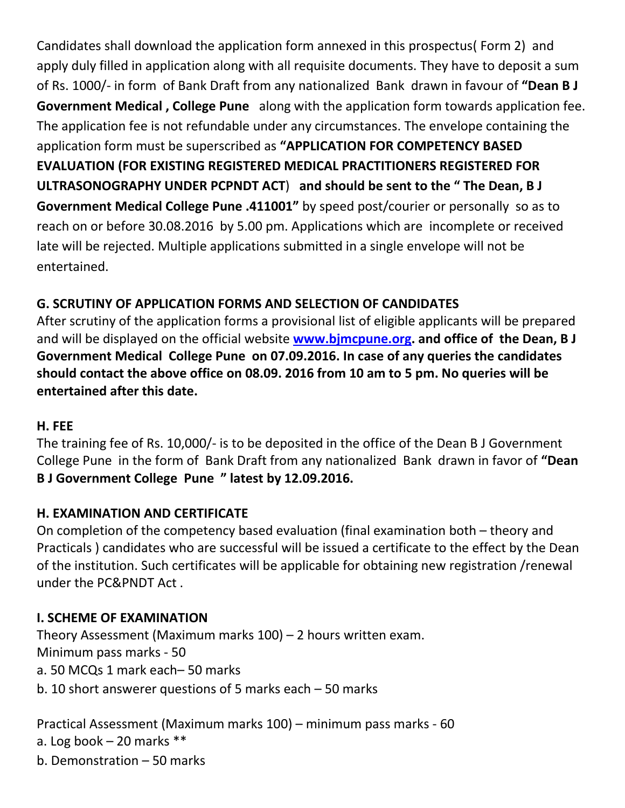Candidates shall download the application form annexed in this prospectus( Form 2) and apply duly filled in application along with all requisite documents. They have to deposit a sum of Rs. 1000/- in form of Bank Draft from any nationalized Bank drawn in favour of **"Dean B J Government Medical , College Pune** along with the application form towards application fee. The application fee is not refundable under any circumstances. The envelope containing the application form must be superscribed as **"APPLICATION FOR COMPETENCY BASED EVALUATION (FOR EXISTING REGISTERED MEDICAL PRACTITIONERS REGISTERED FOR ULTRASONOGRAPHY UNDER PCPNDT ACT**) **and should be sent to the " The Dean, B J Government Medical College Pune .411001"** by speed post/courier or personally so as to reach on or before 30.08.2016 by 5.00 pm. Applications which are incomplete or received late will be rejected. Multiple applications submitted in a single envelope will not be entertained.

## **G. SCRUTINY OF APPLICATION FORMS AND SELECTION OF CANDIDATES**

After scrutiny of the application forms a provisional list of eligible applicants will be prepared and will be displayed on the official website **[www.bjmcpune.org.](http://www.bjmcpune.org/) and office of the Dean, B J Government Medical College Pune on 07.09.2016. In case of any queries the candidates should contact the above office on 08.09. 2016 from 10 am to 5 pm. No queries will be entertained after this date.**

## **H. FEE**

The training fee of Rs. 10,000/- is to be deposited in the office of the Dean B J Government College Pune in the form of Bank Draft from any nationalized Bank drawn in favor of **"Dean B J Government College Pune " latest by 12.09.2016.**

## **H. EXAMINATION AND CERTIFICATE**

On completion of the competency based evaluation (final examination both – theory and Practicals ) candidates who are successful will be issued a certificate to the effect by the Dean of the institution. Such certificates will be applicable for obtaining new registration /renewal under the PC&PNDT Act .

## **I. SCHEME OF EXAMINATION**

Theory Assessment (Maximum marks 100) – 2 hours written exam. Minimum pass marks - 50 a. 50 MCQs 1 mark each– 50 marks b. 10 short answerer questions of 5 marks each – 50 marks

Practical Assessment (Maximum marks 100) – minimum pass marks - 60 a. Log book – 20 marks \*\*

b. Demonstration – 50 marks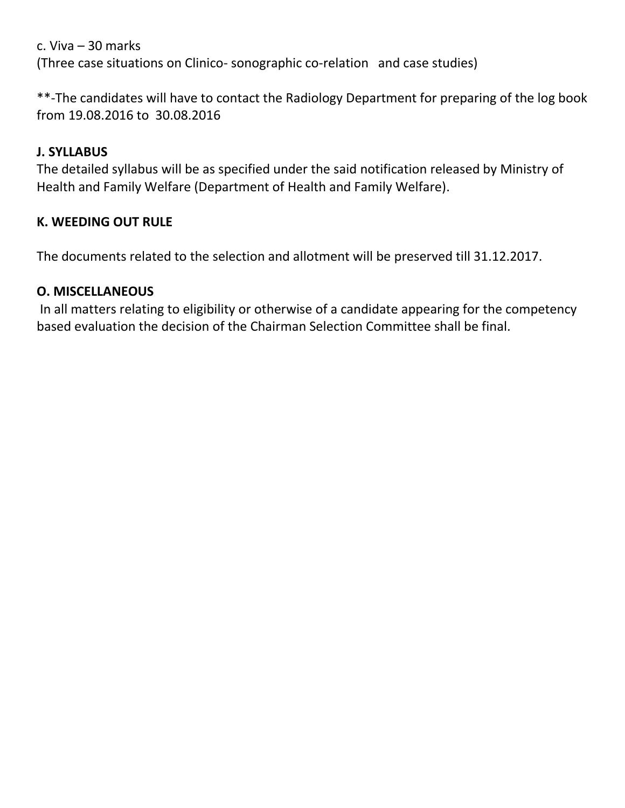c. Viva – 30 marks (Three case situations on Clinico- sonographic co-relation and case studies)

\*\*-The candidates will have to contact the Radiology Department for preparing of the log book from 19.08.2016 to 30.08.2016

## **J. SYLLABUS**

The detailed syllabus will be as specified under the said notification released by Ministry of Health and Family Welfare (Department of Health and Family Welfare).

### **K. WEEDING OUT RULE**

The documents related to the selection and allotment will be preserved till 31.12.2017.

#### **O. MISCELLANEOUS**

In all matters relating to eligibility or otherwise of a candidate appearing for the competency based evaluation the decision of the Chairman Selection Committee shall be final.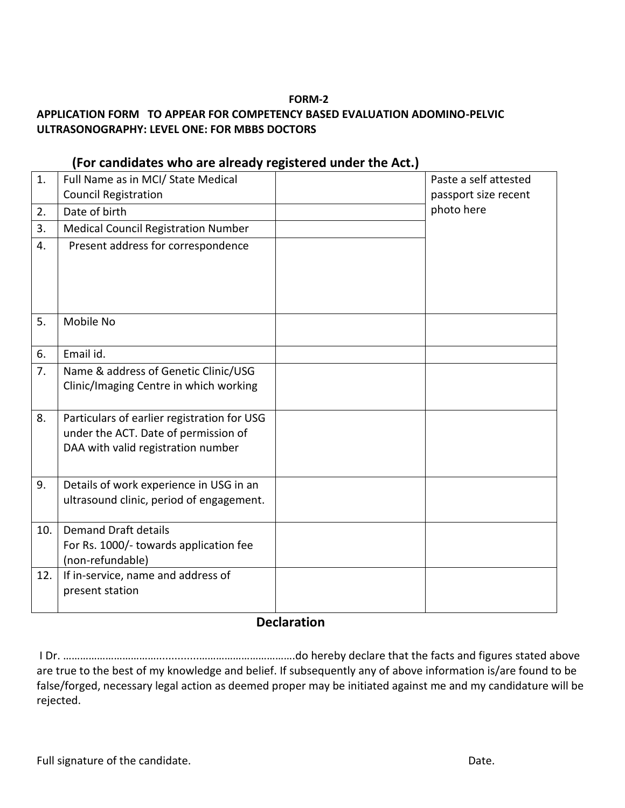#### **FORM-2**

#### **APPLICATION FORM TO APPEAR FOR COMPETENCY BASED EVALUATION ADOMINO-PELVIC ULTRASONOGRAPHY: LEVEL ONE: FOR MBBS DOCTORS**

| 1.  | Full Name as in MCI/ State Medical          | Paste a self attested |
|-----|---------------------------------------------|-----------------------|
|     | <b>Council Registration</b>                 | passport size recent  |
| 2.  | Date of birth                               | photo here            |
| 3.  | <b>Medical Council Registration Number</b>  |                       |
| 4.  | Present address for correspondence          |                       |
|     |                                             |                       |
|     |                                             |                       |
|     |                                             |                       |
| 5.  | Mobile No                                   |                       |
|     |                                             |                       |
| 6.  | Email id.                                   |                       |
| 7.  | Name & address of Genetic Clinic/USG        |                       |
|     | Clinic/Imaging Centre in which working      |                       |
|     |                                             |                       |
| 8.  | Particulars of earlier registration for USG |                       |
|     | under the ACT. Date of permission of        |                       |
|     | DAA with valid registration number          |                       |
|     |                                             |                       |
| 9.  | Details of work experience in USG in an     |                       |
|     | ultrasound clinic, period of engagement.    |                       |
| 10. | <b>Demand Draft details</b>                 |                       |
|     | For Rs. 1000/- towards application fee      |                       |
|     | (non-refundable)                            |                       |
| 12. | If in-service, name and address of          |                       |
|     | present station                             |                       |
|     |                                             |                       |

#### **(For candidates who are already registered under the Act.)**

#### **Declaration**

I Dr. ……………………………..............…………………………….do hereby declare that the facts and figures stated above are true to the best of my knowledge and belief. If subsequently any of above information is/are found to be false/forged, necessary legal action as deemed proper may be initiated against me and my candidature will be rejected.